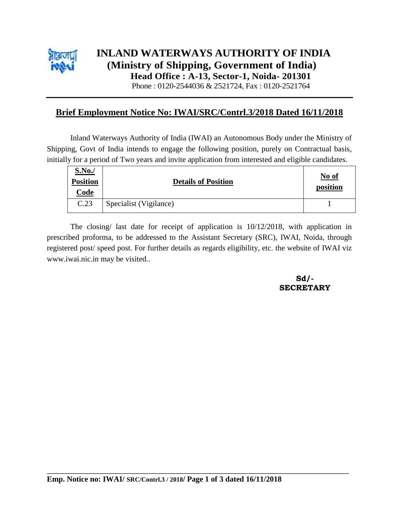

# **INLAND WATERWAYS AUTHORITY OF INDIA (Ministry of Shipping, Government of India) Head Office : A-13, Sector-1, Noida- 201301**

Phone : 0120-2544036 & 2521724, Fax : 0120-2521764

### **Brief Employment Notice No: IWAI/SRC/Contrl.3/2018 Dated 16/11/2018**

Inland Waterways Authority of India (IWAI) an Autonomous Body under the Ministry of Shipping, Govt of India intends to engage the following position, purely on Contractual basis, initially for a period of Two years and invite application from interested and eligible candidates.

| <b>S.No./</b><br><b>Position</b><br><u>Code</u> | <b>Details of Position</b> | No of<br>position |
|-------------------------------------------------|----------------------------|-------------------|
| C.23                                            | Specialist (Vigilance)     |                   |

The closing/ last date for receipt of application is 10/12/2018, with application in prescribed proforma, to be addressed to the Assistant Secretary (SRC), IWAI, Noida, through registered post/ speed post. For further details as regards eligibility, etc. the website of IWAI viz www.iwai.nic.in may be visited..

> **Sd/- SECRETARY**

**\_\_\_\_\_\_\_\_\_\_\_\_\_\_\_\_\_\_\_\_\_\_\_\_\_\_\_\_\_\_\_\_\_\_\_\_\_\_\_\_\_\_\_\_\_\_\_\_\_\_\_\_\_\_\_**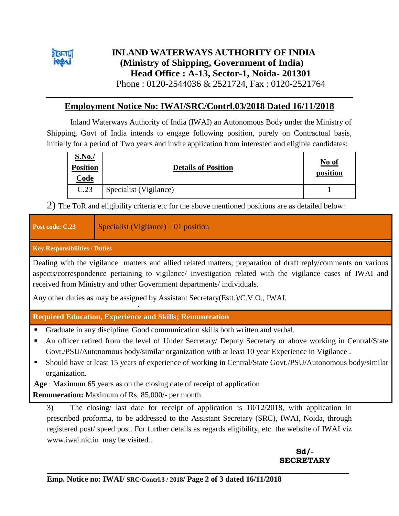

### **INLAND WATERWAYS AUTHORITY OF INDIA (Ministry of Shipping, Government of India) Head Office : A-13, Sector-1, Noida- 201301** Phone : 0120-2544036 & 2521724, Fax : 0120-2521764

**Employment Notice No: IWAI/SRC/Contrl.03/2018 Dated 16/11/2018**

Inland Waterways Authority of India (IWAI) an Autonomous Body under the Ministry of Shipping, Govt of India intends to engage following position, purely on Contractual basis, initially for a period of Two years and invite application from interested and eligible candidates:

| <b>S.No.</b> /<br><b>Position</b><br>Code | <b>Details of Position</b> | No of<br>position |
|-------------------------------------------|----------------------------|-------------------|
| C.23                                      | Specialist (Vigilance)     |                   |

2) The ToR and eligibility criteria etc for the above mentioned positions are as detailed below:

| Post code: C.23                                                                                                                                                                                                                                                                                                                                                                         | Specialist (Vigilance) $-01$ position                                                                                                                                                                                                                                                          |  |  |  |  |
|-----------------------------------------------------------------------------------------------------------------------------------------------------------------------------------------------------------------------------------------------------------------------------------------------------------------------------------------------------------------------------------------|------------------------------------------------------------------------------------------------------------------------------------------------------------------------------------------------------------------------------------------------------------------------------------------------|--|--|--|--|
| <b>Key Responsibilities / Duties</b>                                                                                                                                                                                                                                                                                                                                                    |                                                                                                                                                                                                                                                                                                |  |  |  |  |
| Dealing with the vigilance matters and allied related matters; preparation of draft reply/comments on various<br>aspects/correspondence pertaining to vigilance/ investigation related with the vigilance cases of IWAI and<br>received from Ministry and other Government departments/individuals.<br>Any other duties as may be assigned by Assistant Secretary (Estt.)/C.V.O., IWAI. |                                                                                                                                                                                                                                                                                                |  |  |  |  |
| <b>Required Education, Experience and Skills; Remuneration</b>                                                                                                                                                                                                                                                                                                                          |                                                                                                                                                                                                                                                                                                |  |  |  |  |
|                                                                                                                                                                                                                                                                                                                                                                                         | Graduate in any discipline. Good communication skills both written and verbal.                                                                                                                                                                                                                 |  |  |  |  |
| An officer retired from the level of Under Secretary/ Deputy Secretary or above working in Central/State<br>п<br>Govt./PSU/Autonomous body/similar organization with at least 10 year Experience in Vigilance.                                                                                                                                                                          |                                                                                                                                                                                                                                                                                                |  |  |  |  |
| Should have at least 15 years of experience of working in Central/State Govt./PSU/Autonomous body/similar<br>organization.                                                                                                                                                                                                                                                              |                                                                                                                                                                                                                                                                                                |  |  |  |  |
| Age : Maximum 65 years as on the closing date of receipt of application                                                                                                                                                                                                                                                                                                                 |                                                                                                                                                                                                                                                                                                |  |  |  |  |
|                                                                                                                                                                                                                                                                                                                                                                                         | <b>Remuneration:</b> Maximum of Rs. 85,000/- per month.                                                                                                                                                                                                                                        |  |  |  |  |
| 3)                                                                                                                                                                                                                                                                                                                                                                                      | The closing/ last date for receipt of application is $10/12/2018$ , with application in<br>prescribed proforma, to be addressed to the Assistant Secretary (SRC), IWAI, Noida, through<br>registered post/speed post. For further details as regards eligibility, etc. the website of IWAI viz |  |  |  |  |

www.iwai.nic.in may be visited..

### **Sd/- SECRETARY**

**\_\_\_\_\_\_\_\_\_\_\_\_\_\_\_\_\_\_\_\_\_\_\_\_\_\_\_\_\_\_\_\_\_\_\_\_\_\_\_\_\_\_\_\_\_\_\_\_\_\_\_\_\_\_\_**